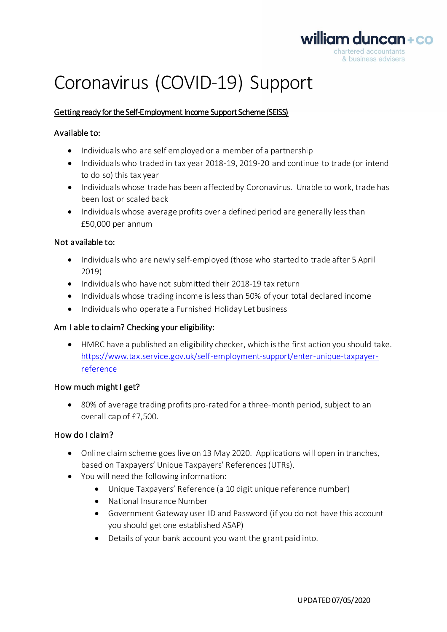

# Coronavirus (COVID-19) Support

## Getting ready for the Self-Employment Income Support Scheme (SEISS)

### Available to:

- Individuals who are self employed or a member of a partnership
- Individuals who traded in tax year 2018-19, 2019-20 and continue to trade (or intend to do so) this tax year
- Individuals whose trade has been affected by Coronavirus. Unable to work, trade has been lost or scaled back
- Individuals whose average profits over a defined period are generally less than £50,000 per annum

#### Not available to:

- Individuals who are newly self-employed (those who started to trade after 5 April 2019)
- Individuals who have not submitted their 2018-19 tax return
- Individuals whose trading income is less than 50% of your total declared income
- Individuals who operate a Furnished Holiday Let business

#### Am I able to claim? Checking your eligibility:

• HMRC have a published an eligibility checker, which is the first action you should take. https://www.tax.service.gov.uk/self-employment-support/enter-unique-taxpayerreference

#### How much might I get?

• 80% of average trading profits pro-rated for a three-month period, subject to an overall cap of £7,500.

#### How do I claim?

- Online claim scheme goes live on 13 May 2020. Applications will open in tranches, based on Taxpayers' Unique Taxpayers' References (UTRs).
- You will need the following information:
	- Unique Taxpayers' Reference (a 10 digit unique reference number)
	- National Insurance Number
	- Government Gateway user ID and Password (if you do not have this account you should get one established ASAP)
	- Details of your bank account you want the grant paid into.